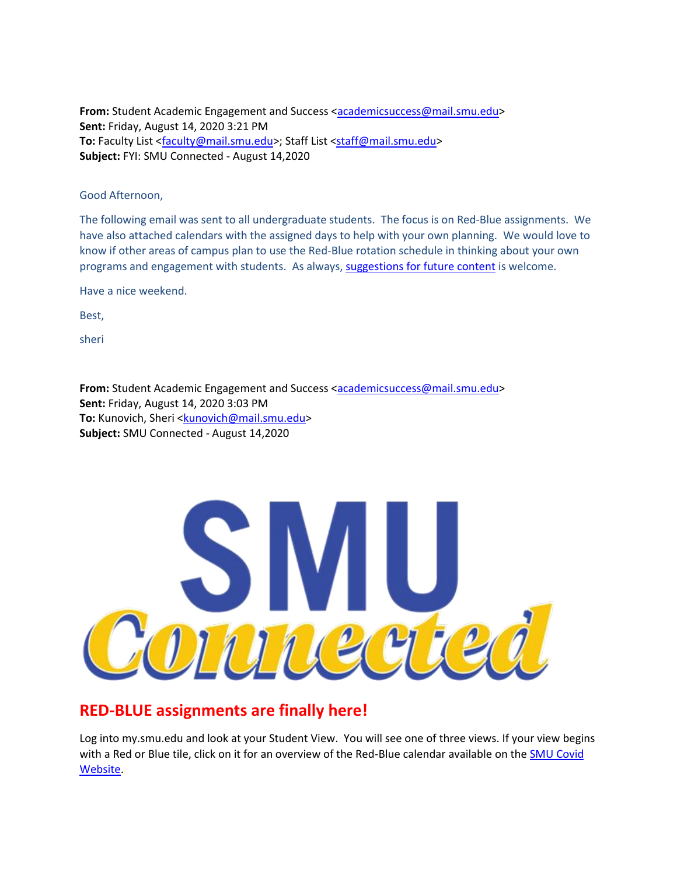From: Student Academic Engagement and Success [<academicsuccess@mail.smu.edu>](mailto:academicsuccess@mail.smu.edu) **Sent:** Friday, August 14, 2020 3:21 PM **To:** Faculty List [<faculty@mail.smu.edu>](mailto:faculty@mail.smu.edu); Staff List [<staff@mail.smu.edu>](mailto:staff@mail.smu.edu) **Subject:** FYI: SMU Connected - August 14,2020

#### Good Afternoon,

The following email was sent to all undergraduate students. The focus is on Red-Blue assignments. We have also attached calendars with the assigned days to help with your own planning. We would love to know if other areas of campus plan to use the Red-Blue rotation schedule in thinking about your own programs and engagement with students. As always[, suggestions for future content](mailto:academicsuccess@smu.edu?subject=Suggestions%20for%20SMU%20Connected) is welcome.

Have a nice weekend.

Best,

sheri

From: Student Academic Engagement and Success [<academicsuccess@mail.smu.edu>](mailto:academicsuccess@mail.smu.edu) **Sent:** Friday, August 14, 2020 3:03 PM To: Kunovich, Sheri [<kunovich@mail.smu.edu>](mailto:kunovich@mail.smu.edu) **Subject:** SMU Connected - August 14,2020



## **RED-BLUE assignments are finally here!**

Log into my.smu.edu and look at your Student View. You will see one of three views. If your view begins with a Red or Blue tile, click on it for an overview of the Red-Blue calendar available on the [SMU Covid](https://www.smu.edu/Coronavirus/Academics)  [Website.](https://www.smu.edu/Coronavirus/Academics)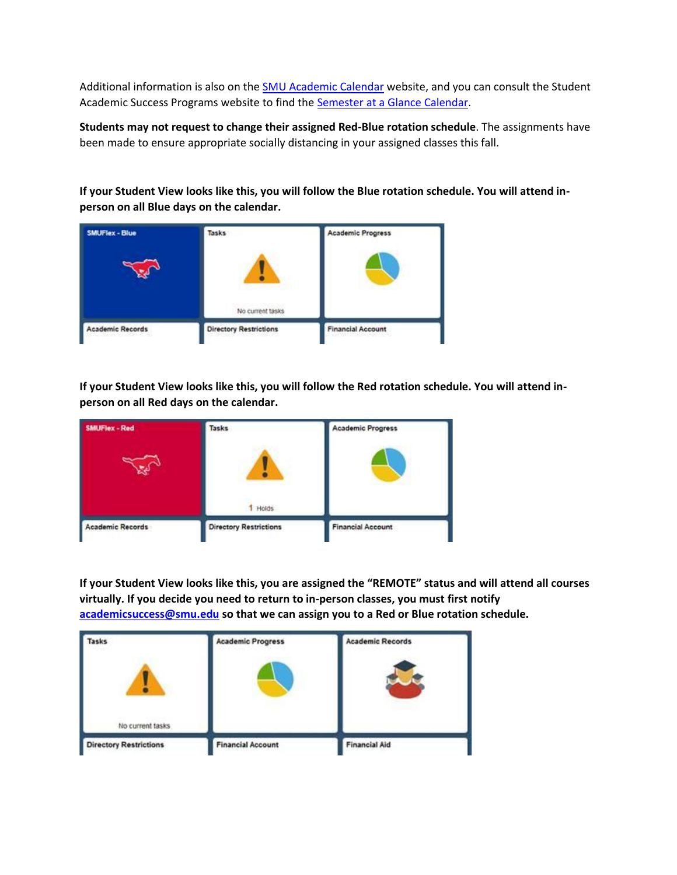Additional information is also on th[e SMU Academic Calendar](https://www.smu.edu/EnrollmentServices/registrar/AcademicCalendarsCourseCatalogs/AcademicCalendars) website, and you can consult the Student Academic Success Programs website to find the **Semester at a Glance Calendar**.

**Students may not request to change their assigned Red-Blue rotation schedule**. The assignments have been made to ensure appropriate socially distancing in your assigned classes this fall.

**If your Student View looks like this, you will follow the Blue rotation schedule. You will attend inperson on all Blue days on the calendar.** 



**If your Student View looks like this, you will follow the Red rotation schedule. You will attend inperson on all Red days on the calendar.** 



**If your Student View looks like this, you are assigned the "REMOTE" status and will attend all courses virtually. If you decide you need to return to in-person classes, you must first notify [academicsuccess@smu.edu](mailto:academicsuccess@smu.edu) so that we can assign you to a Red or Blue rotation schedule.** 

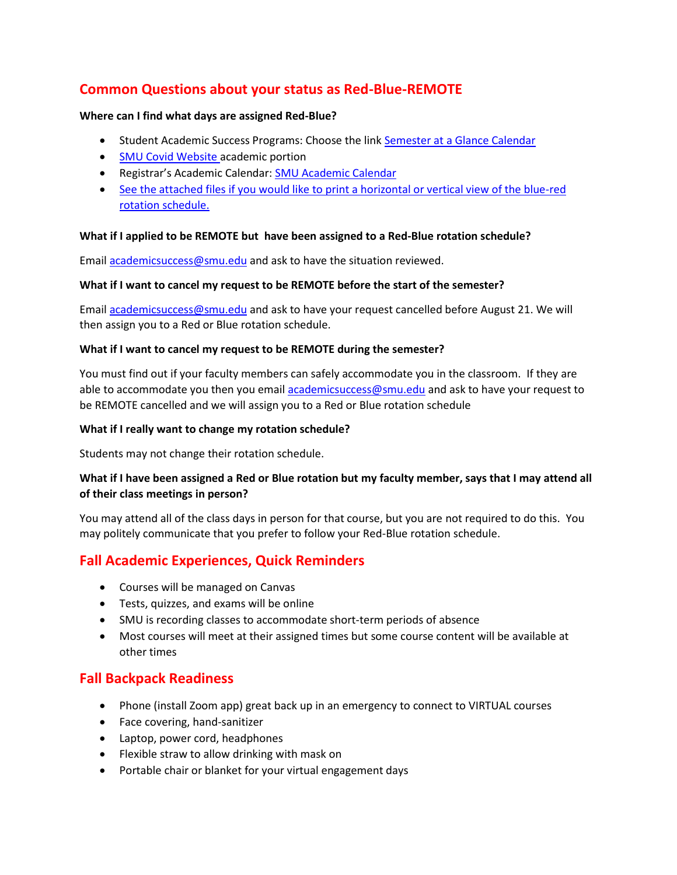## **Common Questions about your status as Red-Blue-REMOTE**

#### **Where can I find what days are assigned Red-Blue?**

- Student Academic Success Programs: Choose the link [Semester at a Glance Calendar](https://www.smu.edu/Provost/ProvostOffice/SAES/StudentSupport/SASP)
- [SMU Covid Website](https://www.smu.edu/Coronavirus/Academics) academic portion
- **•** Registrar's Academic Calendar: **SMU** Academic Calendar
- See the attached files if you would like to print a horizontal or vertical view of the blue-red rotation schedule.

#### **What if I applied to be REMOTE but have been assigned to a Red-Blue rotation schedule?**

Email [academicsuccess@smu.edu](mailto:academicsuccess@smu.edu) and ask to have the situation reviewed.

#### **What if I want to cancel my request to be REMOTE before the start of the semester?**

Email [academicsuccess@smu.edu](mailto:academicsuccess@smu.edu) and ask to have your request cancelled before August 21. We will then assign you to a Red or Blue rotation schedule.

#### **What if I want to cancel my request to be REMOTE during the semester?**

You must find out if your faculty members can safely accommodate you in the classroom. If they are able to accommodate you then you email [academicsuccess@smu.edu](mailto:academicsuccess@smu.edu) and ask to have your request to be REMOTE cancelled and we will assign you to a Red or Blue rotation schedule

#### **What if I really want to change my rotation schedule?**

Students may not change their rotation schedule.

### **What if I have been assigned a Red or Blue rotation but my faculty member, says that I may attend all of their class meetings in person?**

You may attend all of the class days in person for that course, but you are not required to do this. You may politely communicate that you prefer to follow your Red-Blue rotation schedule.

## **Fall Academic Experiences, Quick Reminders**

- Courses will be managed on Canvas
- Tests, quizzes, and exams will be online
- SMU is recording classes to accommodate short-term periods of absence
- Most courses will meet at their assigned times but some course content will be available at other times

## **Fall Backpack Readiness**

- Phone (install Zoom app) great back up in an emergency to connect to VIRTUAL courses
- Face covering, hand-sanitizer
- Laptop, power cord, headphones
- Flexible straw to allow drinking with mask on
- Portable chair or blanket for your virtual engagement days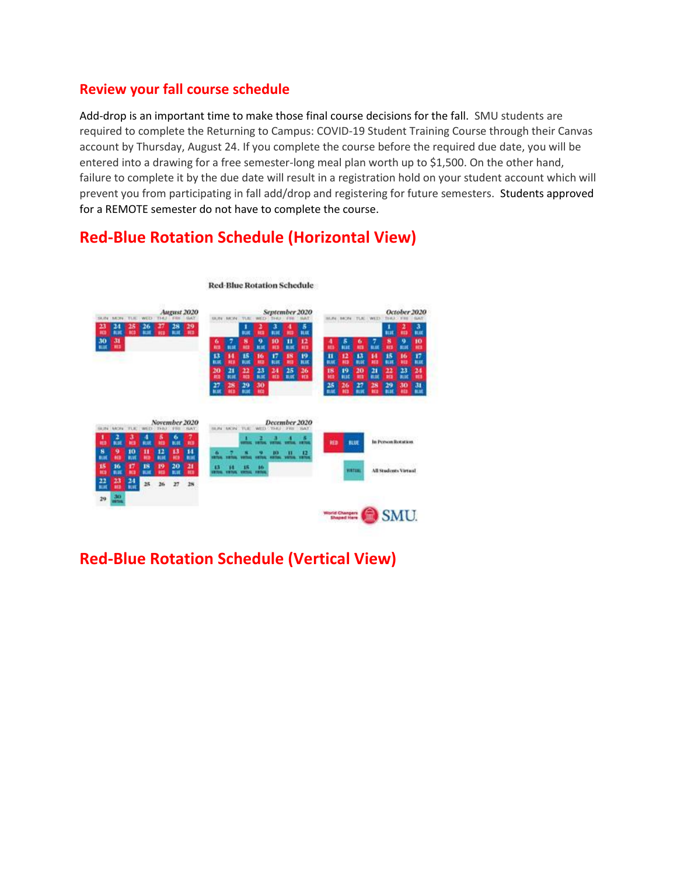## **Review your fall course schedule**

Add-drop is an important time to make those final course decisions for the fall. SMU students are required to complete the Returning to Campus: COVID-19 Student Training Course through their Canvas account by Thursday, August 24. If you complete the course before the required due date, you will be entered into a drawing for a free semester-long meal plan worth up to \$1,500. On the other hand, failure to complete it by the due date will result in a registration hold on your student account which will prevent you from participating in fall add/drop and registering for future semesters. Students approved for a REMOTE semester do not have to complete the course.

## **Red-Blue Rotation Schedule (Horizontal View)**



**Red-Blue Rotation Schedule** 

## **Red-Blue Rotation Schedule (Vertical View)**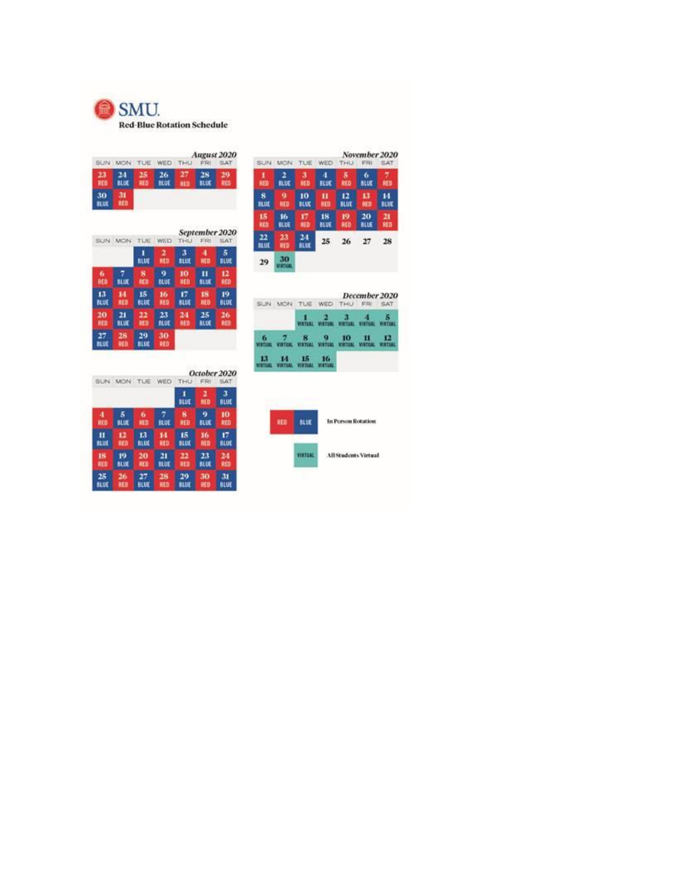

|           | SUN MON TUE WED THU |         |                   |                  | FRI               | August 2020<br><b>SAT</b> |
|-----------|---------------------|---------|-------------------|------------------|-------------------|---------------------------|
| 23<br>RED | 24<br>BLUE:         | 25<br>縮 | 26<br><b>BLUE</b> | 27<br><b>RED</b> | 28<br><b>BLEE</b> | 29<br><b>RED</b>          |
| 30<br>紅城  | <b>RED</b>          |         |                   |                  |                   |                           |

|                   | SUN MON   | TUE         | WED         | November 2020<br>THU<br><b>FRI</b><br>SAT |             |      |  |  |  |  |
|-------------------|-----------|-------------|-------------|-------------------------------------------|-------------|------|--|--|--|--|
| 1                 | 2         | з           | 4           | 5                                         | 6           | 7    |  |  |  |  |
| 部                 | 脫斑        | RED         | <b>BLUE</b> | <b>RED</b>                                | BLUE        | RED  |  |  |  |  |
| s                 | 9         | 10          | 11          | 12                                        | 13          | 14   |  |  |  |  |
| BLUE              | RED       | <b>BLUE</b> | 軸           | BLUE                                      | <b>RED</b>  | BLUE |  |  |  |  |
| 15                | 16        | 17          | 18          | 19                                        | 20          | 21   |  |  |  |  |
| 部位                | 肌斑        | RED         | <b>BLUE</b> | <b>RED</b>                                | <b>BLUE</b> | RED  |  |  |  |  |
| 22<br><b>BLUE</b> | 23<br>RED | 24<br>臥城    | 25          | 26                                        | 27          | 28   |  |  |  |  |
| 29                |           |             |             |                                           |             |      |  |  |  |  |

| <b>SUN</b> | <b>MON</b>  | TUE              | WED         | $T+01$      | September 2020<br>FRI | SAT         |
|------------|-------------|------------------|-------------|-------------|-----------------------|-------------|
|            |             | 1<br><b>BLUE</b> | 2<br>RED    | з<br>BLUE   | 4<br>RED              | 5<br>BLUE   |
| 6          | 7           | я                | 9           | 10          | 11                    | 12          |
| <b>BED</b> | 肌斑          | RED              | <b>BLUE</b> | RED         | 臥尾                    | RED         |
| 13         | 14          | 15               | 16          | 17          | 18                    | 19          |
| 取買         | RED         | <b>BLUE</b>      | <b>RED</b>  | <b>BLUE</b> | <b>RED</b>            | <b>BLUE</b> |
| 20         | 21          | 22               | 23          | 24          | 25                    | 26          |
| RED        | <b>BLUE</b> | RED              | BLUE        | RED         | <b>BLUE</b>           | RED         |
| 27<br>観屏   | 28<br>RED   | 29<br>BLUE       | 30<br>RED   |             |                       |             |

|  | SUN MON TUE WED THU FRI SAT                                                                                             |  | December 2020 |  |
|--|-------------------------------------------------------------------------------------------------------------------------|--|---------------|--|
|  | $\frac{1}{\text{wmin}}$ $\frac{2}{\text{wmin}}$ $\frac{3}{\text{wmin}}$ $\frac{4}{\text{wmin}}$ $\frac{5}{\text{wmin}}$ |  |               |  |
|  | 6 7 8 9 10 11 12                                                                                                        |  |               |  |
|  | 13 14 15 16                                                                                                             |  |               |  |

| SUN. |             | MON TUE WED |             | October 2020<br>SAT<br>THU<br>FRI |          |                  |  |  |
|------|-------------|-------------|-------------|-----------------------------------|----------|------------------|--|--|
|      |             |             |             | 訓紙                                | 2<br>RED | 3<br><b>BLUE</b> |  |  |
| 4    | 5           | 6           | 7           | s                                 | 9        | 10               |  |  |
| RED  | <b>BLUE</b> | 随作          | BLUE        | RED                               | 肌硬       | RED              |  |  |
| п    | 12          | 13          | 14          | 15                                | 16       | 17               |  |  |
| 良野   | RED         | BLUE        | <b>RED</b>  | BLUE                              | RED      | <b>BLUE</b>      |  |  |
| 18   | 19          | 20          | 21          | 22                                | 23       | 24               |  |  |
| RED  | <b>BLUE</b> | <b>RED</b>  | <b>BLUE</b> | RED                               | BLUE     | RED              |  |  |
| 25   | 26          | 27          | 28          | 29                                | 30       | 31               |  |  |
| BLUE | RED         | <b>BLUE</b> | RED         | BLUE                              | RED      | <b>BLUE</b>      |  |  |

| 肌斑 | In Person Ro<br>77<br>÷    |
|----|----------------------------|
|    | <b>All Students Virtua</b> |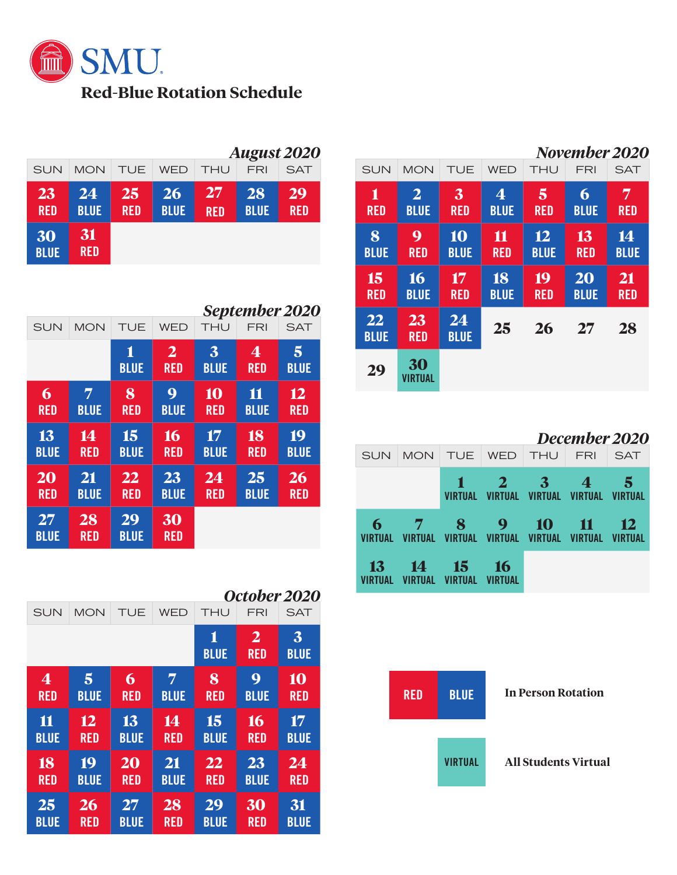

|                   |                   |                  |                          |                  |                   | <b>August 2020</b> |
|-------------------|-------------------|------------------|--------------------------|------------------|-------------------|--------------------|
| <b>SUN</b>        | <b>MON</b>        | <b>TUE</b>       | <b>WED</b>               | <b>THU</b>       | <b>FRI</b>        | <b>SAT</b>         |
| 23<br><b>RED</b>  | 24<br><b>BLUE</b> | 25<br><b>RED</b> | <b>26</b><br><b>BLUE</b> | 27<br><b>RED</b> | 28<br><b>BLUE</b> | 29<br><b>RED</b>   |
| 30<br><b>BLUE</b> | 31<br><b>RED</b>  |                  |                          |                  |                   |                    |

|                          |                   |                   |                                 |                                        |                   | September 2020    |
|--------------------------|-------------------|-------------------|---------------------------------|----------------------------------------|-------------------|-------------------|
| <b>MON</b><br><b>SUN</b> |                   | <b>TUE</b>        | <b>WED</b>                      | THU                                    | FRI               | <b>SAT</b>        |
|                          |                   | 1<br><b>BLUE</b>  | $\overline{2}$<br><b>RED</b>    | $\overline{\mathbf{3}}$<br><b>BLUE</b> | 4<br><b>RED</b>   | 5<br><b>BLUE</b>  |
| 6<br><b>RED</b>          | 7<br><b>BLUE</b>  | 8<br><b>RED</b>   | $\boldsymbol{Q}$<br><b>BLUE</b> | 10<br><b>RED</b>                       | 11<br><b>BLUE</b> | 12<br><b>RED</b>  |
| 13<br><b>BLUE</b>        | 14<br><b>RED</b>  | 15<br><b>BLUE</b> | 16<br><b>RED</b>                | 17<br><b>BLUE</b>                      | 18<br><b>RED</b>  | 19<br><b>BLUE</b> |
| 20<br><b>RED</b>         | 21<br><b>BLUE</b> | 22<br><b>RED</b>  | 23<br><b>BLUE</b>               | 24<br><b>RED</b>                       | 25<br><b>BLUE</b> | 26<br><b>RED</b>  |
| 27<br><b>BLUE</b>        | 28<br><b>RED</b>  | 29<br><b>BLUE</b> | 30<br><b>RED</b>                |                                        |                   |                   |

|                         |             |             |                  |                                       | October 2020     |             |
|-------------------------|-------------|-------------|------------------|---------------------------------------|------------------|-------------|
| <b>SUN</b>              | <b>MON</b>  | TUE         | THU              | SAT                                   |                  |             |
|                         |             |             | 1<br><b>BLUE</b> | $\overline{\mathbf{2}}$<br><b>RED</b> | 3<br><b>BLUE</b> |             |
| $\overline{\mathbf{4}}$ | 5           | 6           | 7                | 8                                     | 9                | 10          |
| <b>RED</b>              | <b>BLUE</b> | <b>RED</b>  | <b>BLUE</b>      | <b>RED</b>                            | <b>BLUE</b>      | <b>RED</b>  |
| 11                      | 12          | 13          | 14               | 15                                    | 16               | 17          |
| <b>BLUE</b>             | <b>RED</b>  | <b>BLUE</b> | <b>RED</b>       | <b>BLUE</b>                           | <b>RED</b>       | <b>BLUE</b> |
| 18                      | 19          | 20          | 21               | 22                                    | 23               | 24          |
| <b>RED</b>              | <b>BLUE</b> | <b>RED</b>  | <b>BLUE</b>      | <b>RED</b>                            | <b>BLUE</b>      | <b>RED</b>  |
| 25                      | 26          | 27          | 28               | 29                                    | 30               | 31          |
| <b>BLUE</b>             | <b>RED</b>  | <b>BLUE</b> | <b>RED</b>       | <b>BLUE</b>                           | <b>RED</b>       | <b>BLUE</b> |

|                   |                               |                   |                               |                   | November 2020     |                   |
|-------------------|-------------------------------|-------------------|-------------------------------|-------------------|-------------------|-------------------|
| <b>SUN</b>        | <b>MON</b>                    | TUE               | <b>WED</b>                    | THU               | FRI               | SAT               |
| 1<br><b>RED</b>   | $\overline{2}$<br><b>BLUE</b> | 3<br><b>RED</b>   | $\overline{4}$<br><b>BLUE</b> | 5<br><b>RED</b>   | 6<br><b>BLUE</b>  | 7<br><b>RED</b>   |
| 8<br><b>BLUE</b>  | 9<br><b>RED</b>               | 10<br><b>BLUE</b> | 11<br><b>RED</b>              | 12<br><b>BLUE</b> | 13<br><b>RED</b>  | 14<br><b>BLUE</b> |
| 15<br><b>RED</b>  | 16<br><b>BLUE</b>             | 17<br><b>RED</b>  | 18<br><b>BLUE</b>             | 19<br><b>RED</b>  | 20<br><b>BLUE</b> | 21<br><b>RED</b>  |
| 22<br><b>BLUE</b> | 23<br><b>RED</b>              | 24<br><b>BLUE</b> | 25                            | 26                | 27                | 28                |
| 29                | 30<br>VIRTUAL                 |                   |                               |                   |                   |                   |

|                     |                                                        |  |                                                                        | December 2020 |                        |  |  |  |  |  |
|---------------------|--------------------------------------------------------|--|------------------------------------------------------------------------|---------------|------------------------|--|--|--|--|--|
| <b>SUN</b>          |                                                        |  | MON TUE WED THU FRI SAT                                                |               |                        |  |  |  |  |  |
|                     |                                                        |  | $1 \quad 2 \quad 3 \quad 4$<br>VIRTUAL VIRTUAL VIRTUAL VIRTUAL VIRTUAL |               | - 5                    |  |  |  |  |  |
|                     |                                                        |  |                                                                        |               |                        |  |  |  |  |  |
| 6<br><b>VIRTUAL</b> | 7 8 9 10 11<br>VIRTUAL VIRTUAL VIRTUAL VIRTUAL VIRTUAL |  |                                                                        |               | - 12<br><b>VIRTUAL</b> |  |  |  |  |  |